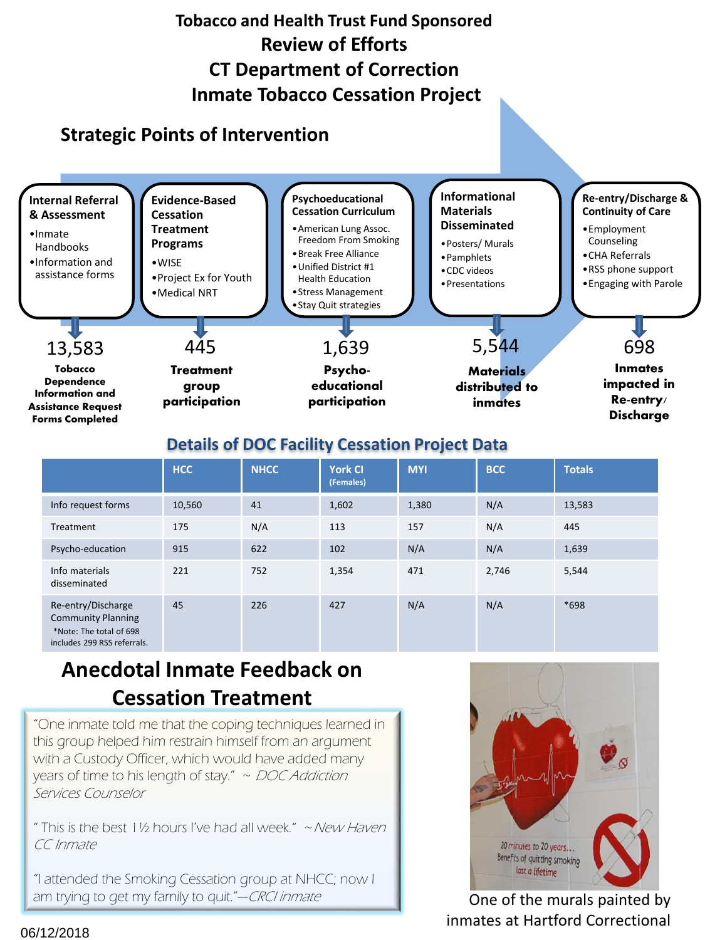

## **Details of DOC Facility Cessation Project Data**

|                                                                                                           | <b>HCC</b> | <b>NHCC</b> | <b>York CI</b><br>(Females) | <b>MYI</b> | <b>BCC</b> | <b>Totals</b> |  |  |
|-----------------------------------------------------------------------------------------------------------|------------|-------------|-----------------------------|------------|------------|---------------|--|--|
| Info request forms                                                                                        | 10,560     | 41          | 1,602                       | 1,380      | N/A        | 13,583        |  |  |
| Treatment                                                                                                 | 175        | N/A         | 113                         | 157        | N/A        | 445           |  |  |
| Psycho-education                                                                                          | 915        | 622         | 102                         | N/A        | N/A        | 1,639         |  |  |
| Info materials<br>disseminated                                                                            | 221        | 752         | 1,354                       | 471        | 2,746      | 5,544         |  |  |
| Re-entry/Discharge<br><b>Community Planning</b><br>*Note: The total of 698<br>includes 299 RSS referrals. | 45         | 226         | 427                         | N/A        | N/A        | $*698$        |  |  |

# **Anecdotal Inmate Feedback on Cessation Treatment**

"One inmate told me that the coping techniques learned in this group helped him restrain himself from an argument with a Custody Officer, which would have added many years of time to his length of stay."  $\sim$  DOC Addiction Services Counselor

" This is the best 1½ hours I've had all week." ~New Haven CC Inmate

"I attended the Smoking Cessation group at NHCC; now I am trying to get my family to quit."—CRCI inmate



One of the murals painted by inmates at Hartford Correctional

#### 06/12/2018